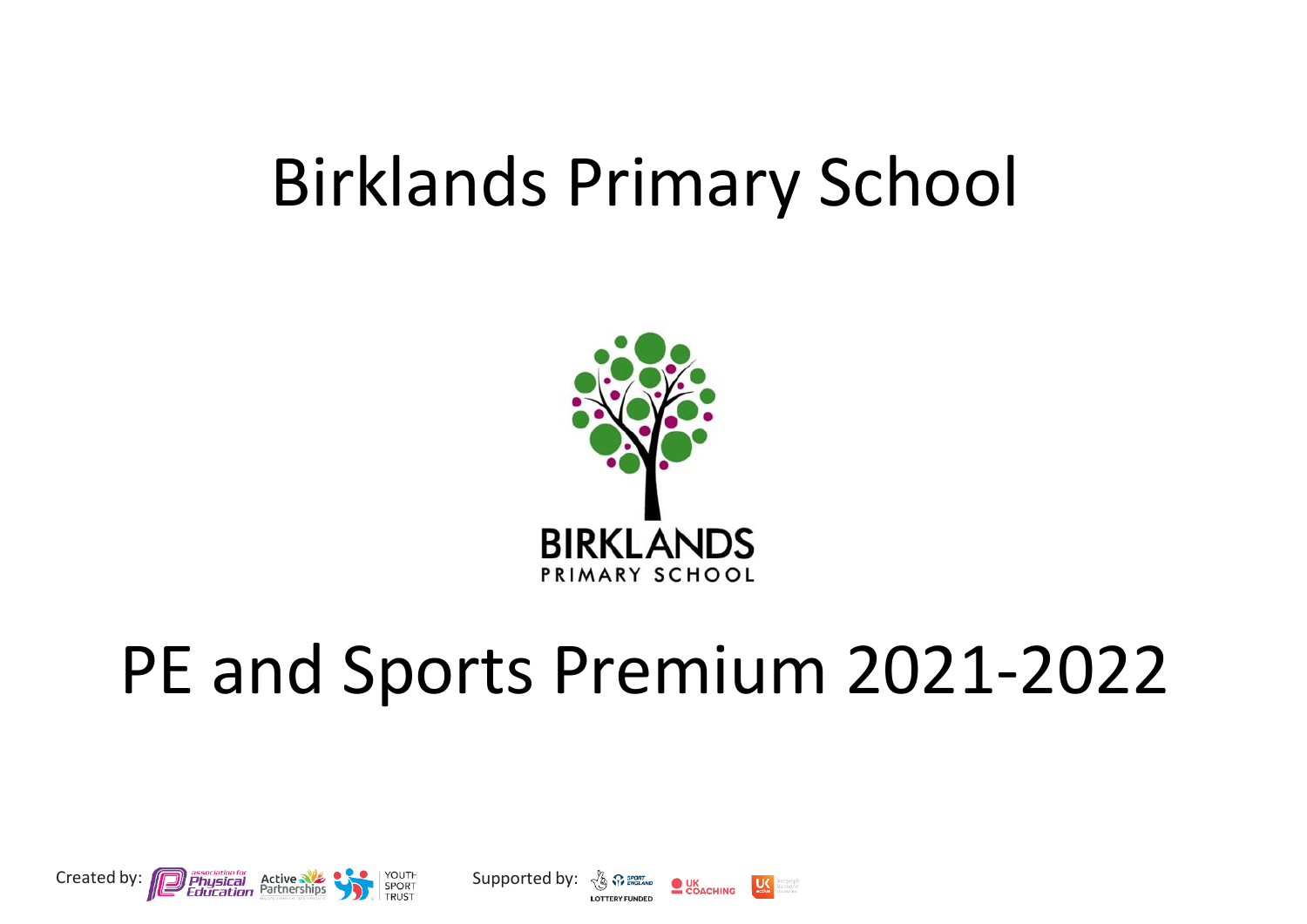## Birklands Primary School



# PE and Sports Premium 2021-2022





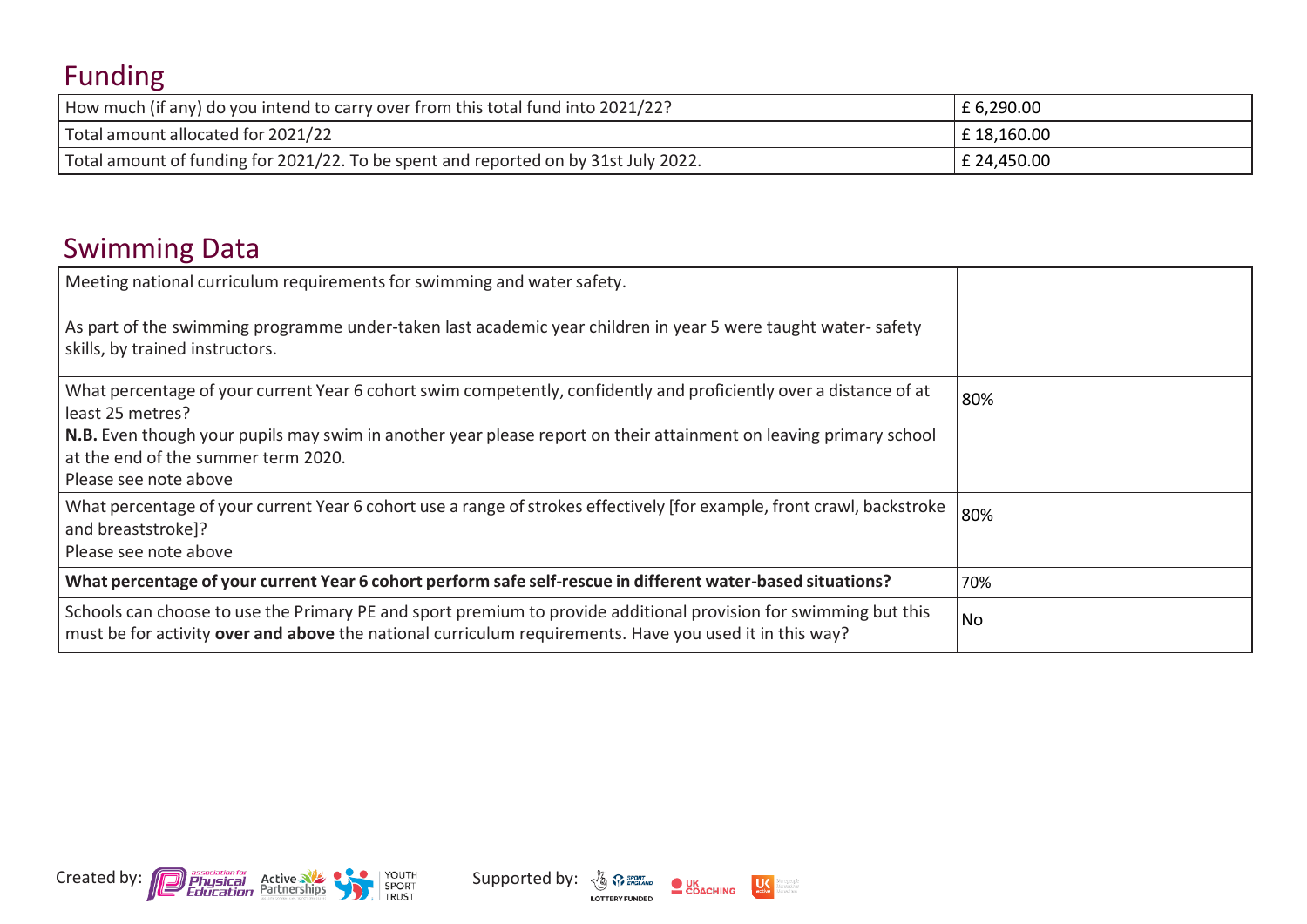## Funding

| How much (if any) do you intend to carry over from this total fund into 2021/22?    | £6,290.00   |
|-------------------------------------------------------------------------------------|-------------|
| Total amount allocated for 2021/22                                                  | £18,160.00  |
| Total amount of funding for 2021/22. To be spent and reported on by 31st July 2022. | £ 24,450.00 |

### Swimming Data

| Meeting national curriculum requirements for swimming and water safety.                                                                                                                                                                                                                            |     |
|----------------------------------------------------------------------------------------------------------------------------------------------------------------------------------------------------------------------------------------------------------------------------------------------------|-----|
| As part of the swimming programme under-taken last academic year children in year 5 were taught water-safety<br>skills, by trained instructors.                                                                                                                                                    |     |
| What percentage of your current Year 6 cohort swim competently, confidently and proficiently over a distance of at<br>least 25 metres?<br>N.B. Even though your pupils may swim in another year please report on their attainment on leaving primary school<br>at the end of the summer term 2020. | 80% |
| Please see note above                                                                                                                                                                                                                                                                              |     |
| What percentage of your current Year 6 cohort use a range of strokes effectively [for example, front crawl, backstroke<br>and breaststroke]?<br>Please see note above                                                                                                                              | 80% |
| What percentage of your current Year 6 cohort perform safe self-rescue in different water-based situations?                                                                                                                                                                                        | 70% |
| Schools can choose to use the Primary PE and sport premium to provide additional provision for swimming but this<br>must be for activity over and above the national curriculum requirements. Have you used it in this way?                                                                        | No  |





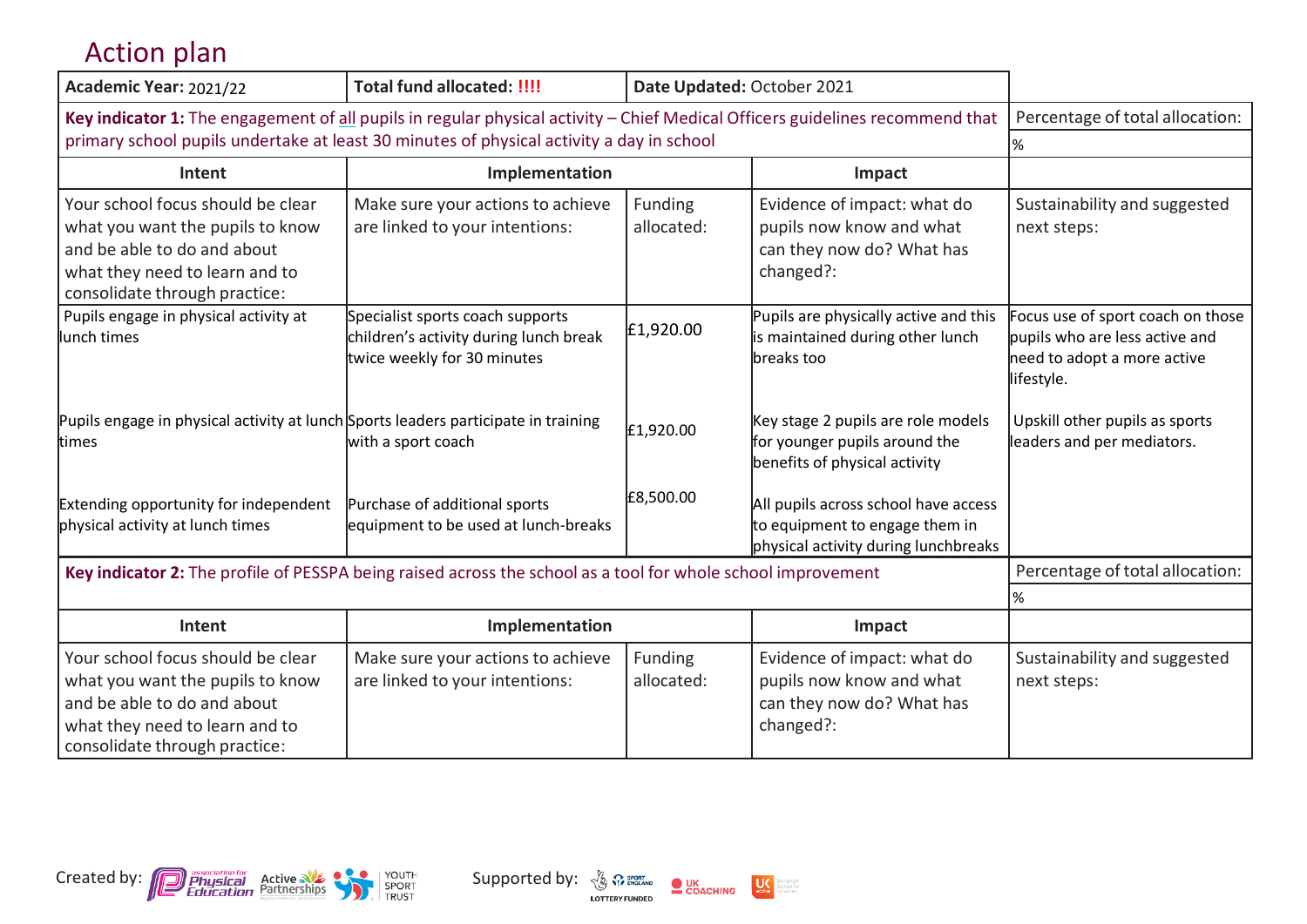### Action plan

| Academic Year: 2021/22                                                                                                                                                  | <b>Total fund allocated: !!!!</b>                                                                         | Date Updated: October 2021 |                                                                                                                |                                                                                                                  |
|-------------------------------------------------------------------------------------------------------------------------------------------------------------------------|-----------------------------------------------------------------------------------------------------------|----------------------------|----------------------------------------------------------------------------------------------------------------|------------------------------------------------------------------------------------------------------------------|
| Key indicator 1: The engagement of all pupils in regular physical activity - Chief Medical Officers guidelines recommend that                                           |                                                                                                           |                            |                                                                                                                | Percentage of total allocation:                                                                                  |
| primary school pupils undertake at least 30 minutes of physical activity a day in school                                                                                |                                                                                                           |                            |                                                                                                                | %                                                                                                                |
| Intent                                                                                                                                                                  | Implementation                                                                                            |                            | Impact                                                                                                         |                                                                                                                  |
| Your school focus should be clear<br>what you want the pupils to know<br>and be able to do and about<br>what they need to learn and to<br>consolidate through practice: | Make sure your actions to achieve<br>are linked to your intentions:                                       | Funding<br>allocated:      | Evidence of impact: what do<br>pupils now know and what<br>can they now do? What has<br>changed?:              | Sustainability and suggested<br>next steps:                                                                      |
| Pupils engage in physical activity at<br>lunch times                                                                                                                    | Specialist sports coach supports<br>children's activity during lunch break<br>twice weekly for 30 minutes | £1,920.00                  | Pupils are physically active and this<br>is maintained during other lunch<br>breaks too                        | Focus use of sport coach on those<br>pupils who are less active and<br>need to adopt a more active<br>lifestyle. |
| Pupils engage in physical activity at lunch Sports leaders participate in training<br>times                                                                             | with a sport coach                                                                                        | £1,920.00                  | Key stage 2 pupils are role models<br>for younger pupils around the<br>benefits of physical activity           | Upskill other pupils as sports<br>leaders and per mediators.                                                     |
| Extending opportunity for independent<br>physical activity at lunch times                                                                                               | Purchase of additional sports<br>equipment to be used at lunch-breaks                                     | £8,500.00                  | All pupils across school have access<br>to equipment to engage them in<br>physical activity during lunchbreaks |                                                                                                                  |
| Key indicator 2: The profile of PESSPA being raised across the school as a tool for whole school improvement                                                            |                                                                                                           |                            |                                                                                                                | Percentage of total allocation:                                                                                  |
|                                                                                                                                                                         |                                                                                                           |                            |                                                                                                                | $\%$                                                                                                             |
| Intent                                                                                                                                                                  | Implementation                                                                                            |                            | Impact                                                                                                         |                                                                                                                  |
| Your school focus should be clear<br>what you want the pupils to know<br>and be able to do and about<br>what they need to learn and to<br>consolidate through practice: | Make sure your actions to achieve<br>are linked to your intentions:                                       | Funding<br>allocated:      | Evidence of impact: what do<br>pupils now know and what<br>can they now do? What has<br>changed?:              | Sustainability and suggested<br>next steps:                                                                      |



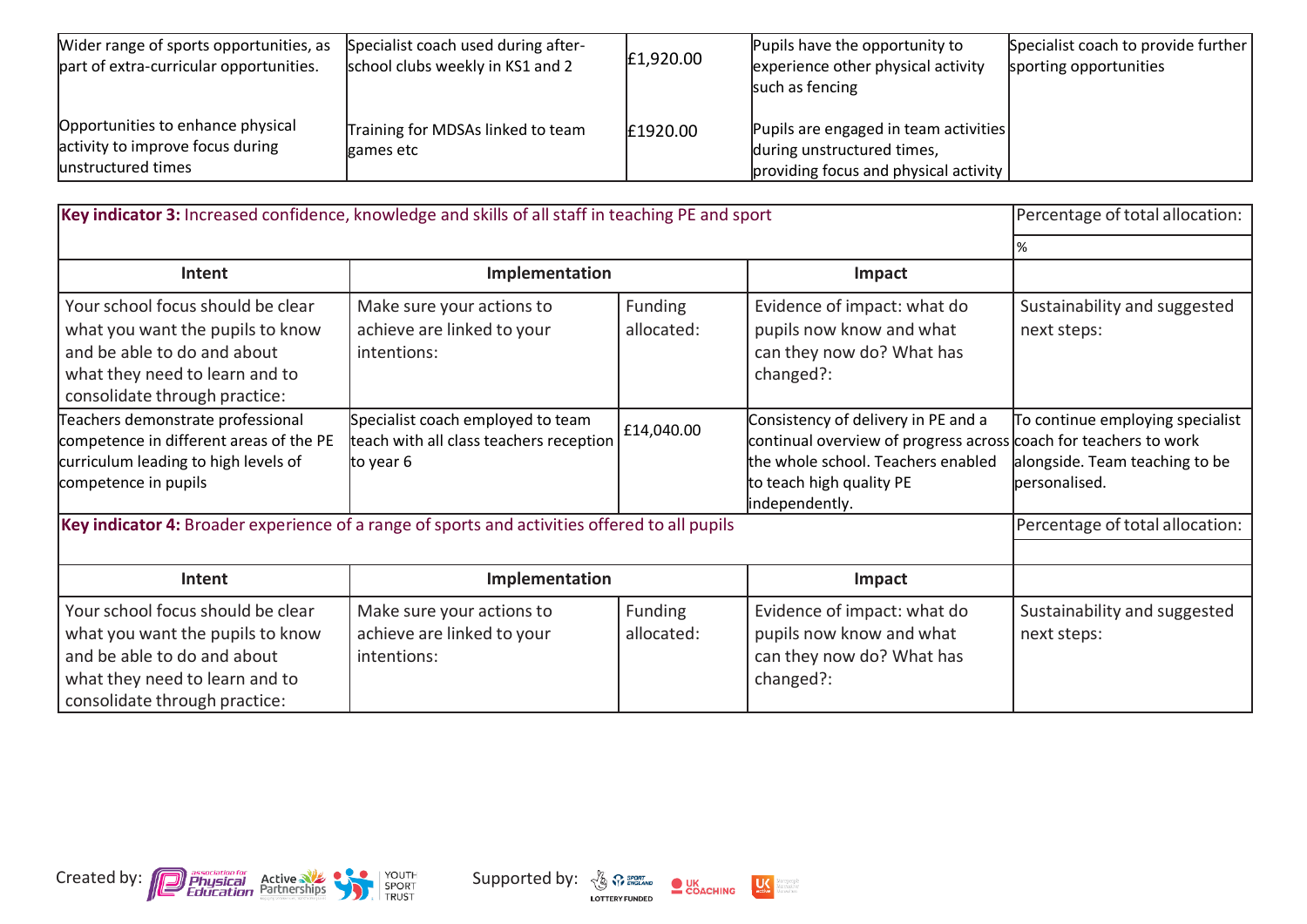| Wider range of sports opportunities, as<br>part of extra-curricular opportunities.          | Specialist coach used during after-<br>school clubs weekly in KS1 and 2 | £1,920.00 | Pupils have the opportunity to<br>experience other physical activity<br>such as fencing                      | Specialist coach to provide further<br>sporting opportunities |
|---------------------------------------------------------------------------------------------|-------------------------------------------------------------------------|-----------|--------------------------------------------------------------------------------------------------------------|---------------------------------------------------------------|
| Opportunities to enhance physical<br>activity to improve focus during<br>unstructured times | Training for MDSAs linked to team<br>games etc                          | £1920.00  | Pupils are engaged in team activities<br>during unstructured times,<br>providing focus and physical activity |                                                               |

| Key indicator 3: Increased confidence, knowledge and skills of all staff in teaching PE and sport                                                                       |                                                                                           |                       |                                                                                                                                                                                             | Percentage of total allocation:                                                     |
|-------------------------------------------------------------------------------------------------------------------------------------------------------------------------|-------------------------------------------------------------------------------------------|-----------------------|---------------------------------------------------------------------------------------------------------------------------------------------------------------------------------------------|-------------------------------------------------------------------------------------|
|                                                                                                                                                                         |                                                                                           |                       |                                                                                                                                                                                             |                                                                                     |
| Intent                                                                                                                                                                  | Implementation                                                                            |                       | Impact                                                                                                                                                                                      |                                                                                     |
| Your school focus should be clear<br>what you want the pupils to know<br>and be able to do and about<br>what they need to learn and to<br>consolidate through practice: | Make sure your actions to<br>achieve are linked to your<br>intentions:                    | Funding<br>allocated: | Evidence of impact: what do<br>pupils now know and what<br>can they now do? What has<br>changed?:                                                                                           | Sustainability and suggested<br>next steps:                                         |
| Teachers demonstrate professional<br>competence in different areas of the PE<br>curriculum leading to high levels of<br>competence in pupils                            | Specialist coach employed to team<br>teach with all class teachers reception<br>to year 6 | £14,040.00            | Consistency of delivery in PE and a<br>continual overview of progress across coach for teachers to work<br>the whole school. Teachers enabled<br>to teach high quality PE<br>independently. | To continue employing specialist<br>alongside. Team teaching to be<br>personalised. |
| Key indicator 4: Broader experience of a range of sports and activities offered to all pupils                                                                           |                                                                                           |                       |                                                                                                                                                                                             | Percentage of total allocation:                                                     |
|                                                                                                                                                                         |                                                                                           |                       |                                                                                                                                                                                             |                                                                                     |
| Intent                                                                                                                                                                  | Implementation                                                                            |                       | Impact                                                                                                                                                                                      |                                                                                     |
| Your school focus should be clear<br>what you want the pupils to know<br>and be able to do and about<br>what they need to learn and to<br>consolidate through practice: | Make sure your actions to<br>achieve are linked to your<br>intentions:                    | Funding<br>allocated: | Evidence of impact: what do<br>pupils now know and what<br>can they now do? What has<br>changed?:                                                                                           | Sustainability and suggested<br>next steps:                                         |



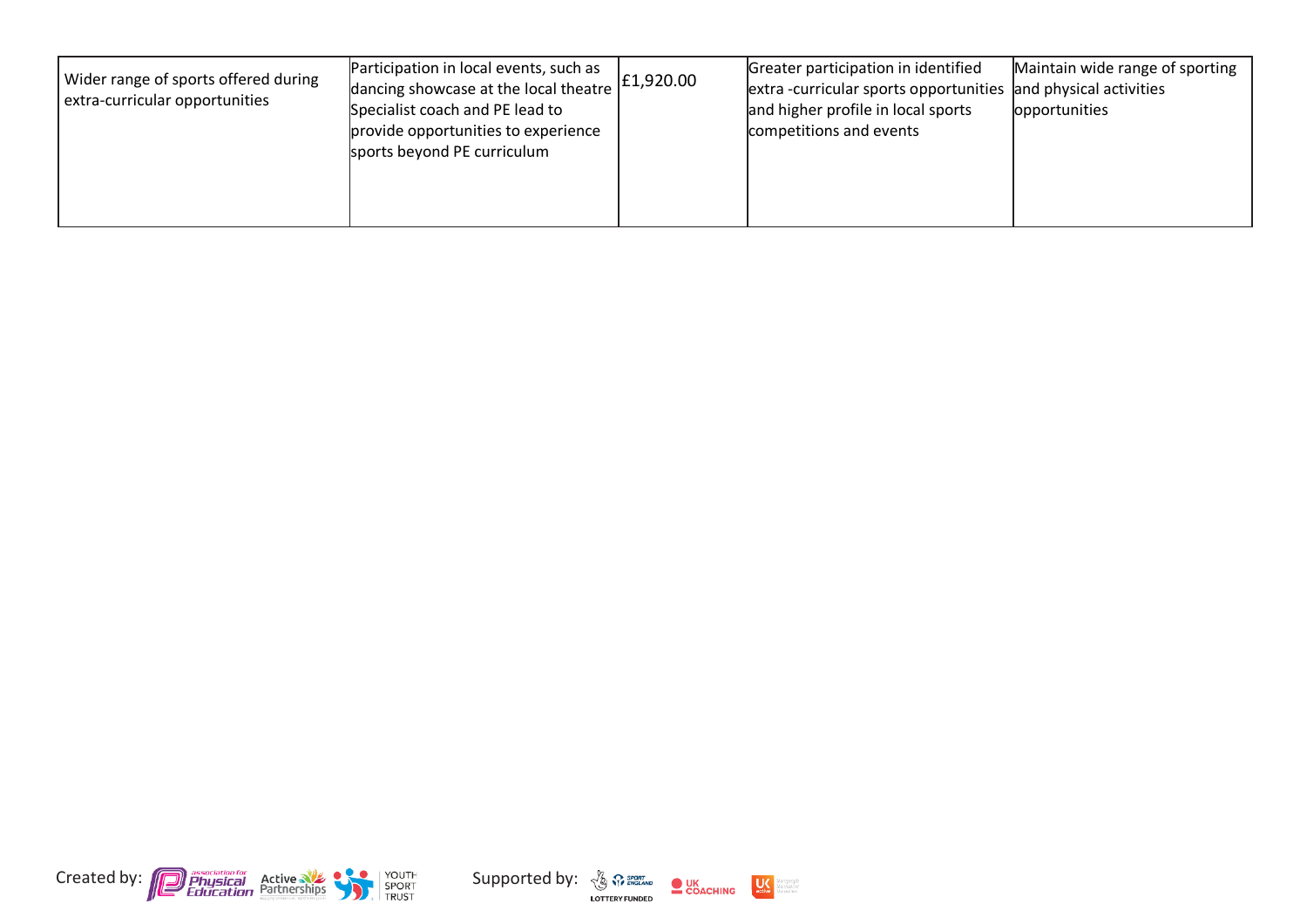| Participation in local events, such as<br>Wider range of sports offered during<br>dancing showcase at the local theatre<br>extra-curricular opportunities<br>Specialist coach and PE lead to<br>provide opportunities to experience<br>sports beyond PE curriculum | E1,920.00 | Greater participation in identified<br>extra-curricular sports opportunities and physical activities<br>and higher profile in local sports<br>competitions and events | Maintain wide range of sporting<br>opportunities |
|--------------------------------------------------------------------------------------------------------------------------------------------------------------------------------------------------------------------------------------------------------------------|-----------|-----------------------------------------------------------------------------------------------------------------------------------------------------------------------|--------------------------------------------------|
|--------------------------------------------------------------------------------------------------------------------------------------------------------------------------------------------------------------------------------------------------------------------|-----------|-----------------------------------------------------------------------------------------------------------------------------------------------------------------------|--------------------------------------------------|